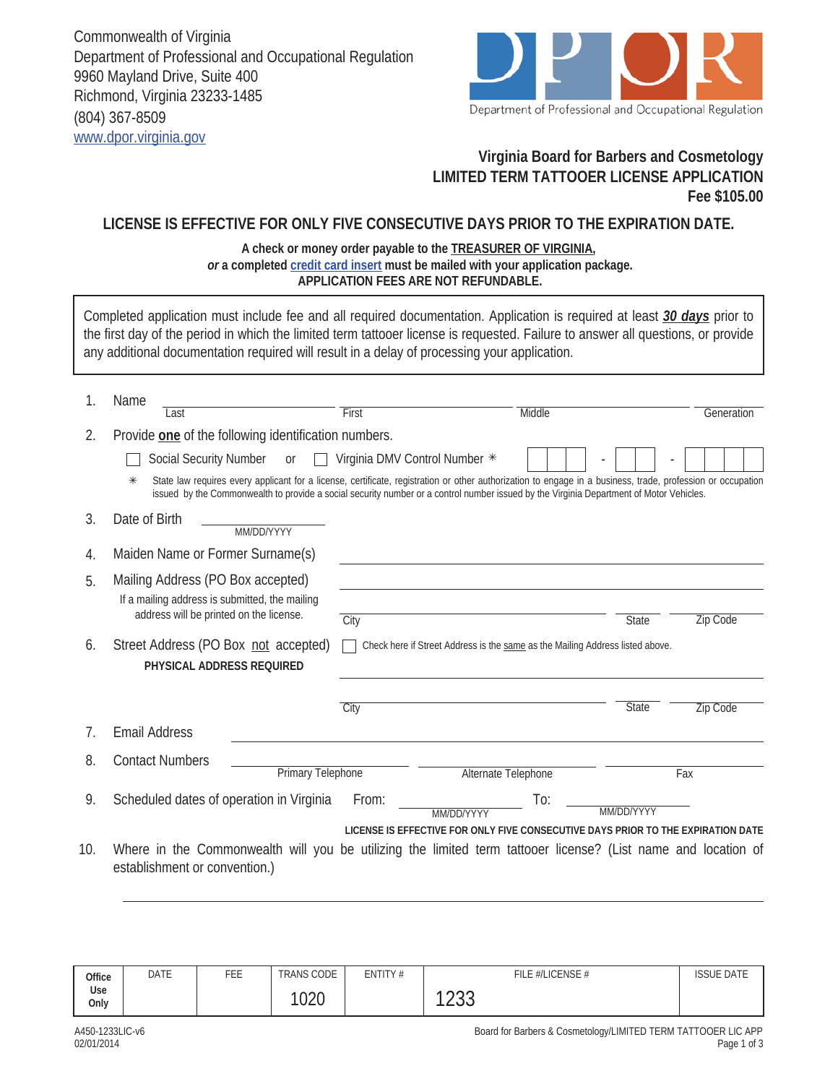Commonwealth of Virginia Department of Professional and Occupational Regulation 9960 Mayland Drive, Suite 400 Richmond, Virginia 23233-1485 (804) 367-8509 www.dpor.virginia.gov



## **Virginia Board for Barbers and Cosmetology LIMITED TERM TATTOOER LICENSE APPLICATION Fee \$105.00**

## **LICENSE IS EFFECTIVE FOR ONLY FIVE CONSECUTIVE DAYS PRIOR TO THE EXPIRATION DATE.**

**A check or money order payable to the TREASURER OF VIRGINIA,**  *or* **a completed credit card insert must be mailed with your application package. APPLICATION FEES ARE NOT REFUNDABLE.**

Completed application must include fee and all required documentation. Application is required at least *30 days* prior to the first day of the period in which the limited term tattooer license is requested. Failure to answer all questions, or provide any additional documentation required will result in a delay of processing your application.

| 1.  | Name<br>Last                                                                                                                                                                                                                                                                                                                                              | First                                                                            | Middle |              | Generation      |
|-----|-----------------------------------------------------------------------------------------------------------------------------------------------------------------------------------------------------------------------------------------------------------------------------------------------------------------------------------------------------------|----------------------------------------------------------------------------------|--------|--------------|-----------------|
| 2.  | Provide one of the following identification numbers.                                                                                                                                                                                                                                                                                                      |                                                                                  |        |              |                 |
|     | <b>Social Security Number</b><br><b>or</b><br>State law requires every applicant for a license, certificate, registration or other authorization to engage in a business, trade, profession or occupation<br>⋇<br>issued by the Commonwealth to provide a social security number or a control number issued by the Virginia Department of Motor Vehicles. | Virginia DMV Control Number *                                                    |        |              |                 |
| 3.  | Date of Birth<br>MM/DD/YYYY                                                                                                                                                                                                                                                                                                                               |                                                                                  |        |              |                 |
| 4.  | Maiden Name or Former Surname(s)                                                                                                                                                                                                                                                                                                                          |                                                                                  |        |              |                 |
| 5.  | Mailing Address (PO Box accepted)<br>If a mailing address is submitted, the mailing<br>address will be printed on the license.                                                                                                                                                                                                                            | City                                                                             |        | <b>State</b> | <b>Zip Code</b> |
| 6.  | Street Address (PO Box not accepted)<br>PHYSICAL ADDRESS REQUIRED                                                                                                                                                                                                                                                                                         | Check here if Street Address is the same as the Mailing Address listed above.    |        |              |                 |
|     |                                                                                                                                                                                                                                                                                                                                                           | City                                                                             |        | <b>State</b> | <b>Zip Code</b> |
| 7.  | <b>Email Address</b>                                                                                                                                                                                                                                                                                                                                      |                                                                                  |        |              |                 |
| 8.  | <b>Contact Numbers</b><br><b>Primary Telephone</b>                                                                                                                                                                                                                                                                                                        | <b>Alternate Telephone</b>                                                       |        | Fax          |                 |
| 9.  | Scheduled dates of operation in Virginia                                                                                                                                                                                                                                                                                                                  | From:<br>MM/DD/YYYY                                                              | To:    | MM/DD/YYYY   |                 |
| 10. | Where in the Commonwealth will you be utilizing the limited term tattooer license? (List name and location of<br>establishment or convention.)                                                                                                                                                                                                            | LICENSE IS EFFECTIVE FOR ONLY FIVE CONSECUTIVE DAYS PRIOR TO THE EXPIRATION DATE |        |              |                 |

| Office      | DATE | FEE | TRANS CODE | ENTITY# | $\pm$ #/LICENSE #<br><b>FILE</b> | <b>ISSUE DATE</b> |
|-------------|------|-----|------------|---------|----------------------------------|-------------------|
| Use<br>Only |      |     | 1020       |         | 1000<br>∠∪                       |                   |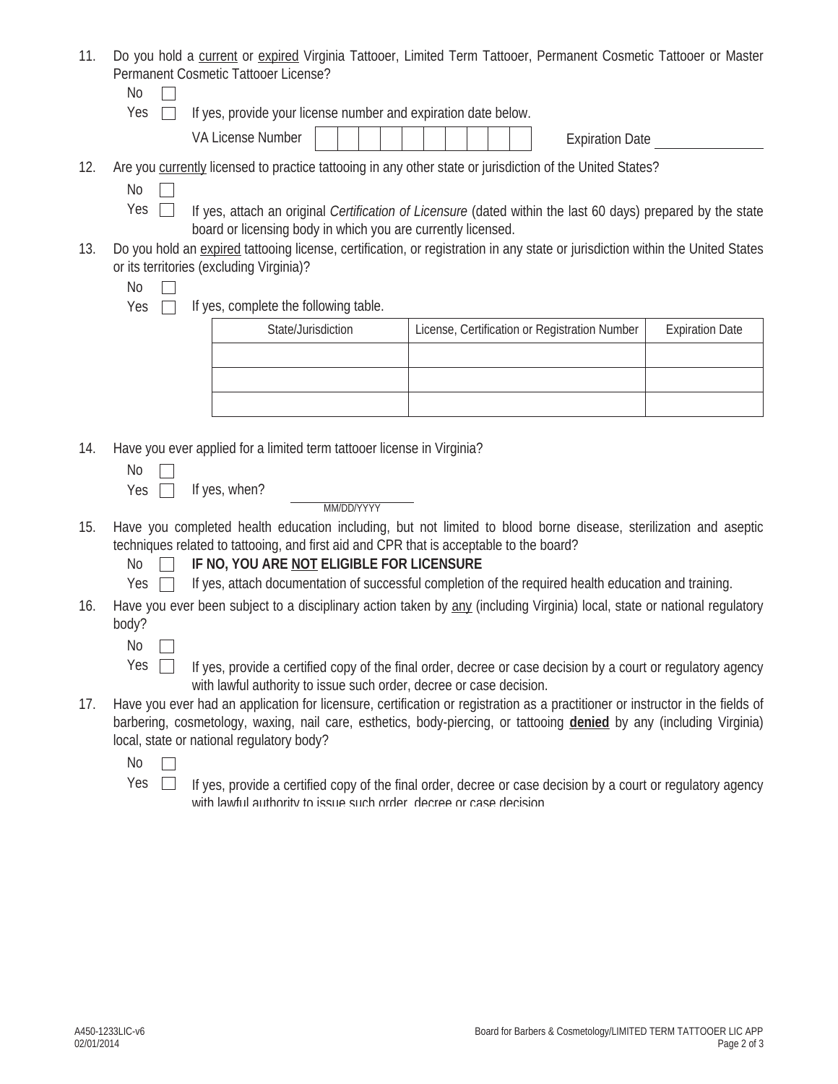11. Do you hold a current or expired Virginia Tattooer, Limited Term Tattooer, Permanent Cosmetic Tattooer or Master Permanent Cosmetic Tattooer License?

|                                                                                                                                                                                                | <b>No</b>                                                                                                                                                                                                                                                                                                                                                                            | Permanent Cosmetic Tattooer License?                                                                                                                                                                                                                                                                |  |  |  |  |                                               |                        |
|------------------------------------------------------------------------------------------------------------------------------------------------------------------------------------------------|--------------------------------------------------------------------------------------------------------------------------------------------------------------------------------------------------------------------------------------------------------------------------------------------------------------------------------------------------------------------------------------|-----------------------------------------------------------------------------------------------------------------------------------------------------------------------------------------------------------------------------------------------------------------------------------------------------|--|--|--|--|-----------------------------------------------|------------------------|
|                                                                                                                                                                                                | Yes                                                                                                                                                                                                                                                                                                                                                                                  | If yes, provide your license number and expiration date below.                                                                                                                                                                                                                                      |  |  |  |  |                                               |                        |
|                                                                                                                                                                                                |                                                                                                                                                                                                                                                                                                                                                                                      | VA License Number                                                                                                                                                                                                                                                                                   |  |  |  |  | <b>Expiration Date</b>                        |                        |
| 12.                                                                                                                                                                                            | Are you currently licensed to practice tattooing in any other state or jurisdiction of the United States?<br>No<br>Yes<br>If yes, attach an original Certification of Licensure (dated within the last 60 days) prepared by the state<br>board or licensing body in which you are currently licensed.                                                                                |                                                                                                                                                                                                                                                                                                     |  |  |  |  |                                               |                        |
| 13.                                                                                                                                                                                            | Do you hold an expired tattooing license, certification, or registration in any state or jurisdiction within the United States<br>or its territories (excluding Virginia)?<br>N <sub>0</sub><br>If yes, complete the following table.<br>Yes                                                                                                                                         |                                                                                                                                                                                                                                                                                                     |  |  |  |  |                                               |                        |
|                                                                                                                                                                                                |                                                                                                                                                                                                                                                                                                                                                                                      | State/Jurisdiction                                                                                                                                                                                                                                                                                  |  |  |  |  | License, Certification or Registration Number | <b>Expiration Date</b> |
|                                                                                                                                                                                                |                                                                                                                                                                                                                                                                                                                                                                                      |                                                                                                                                                                                                                                                                                                     |  |  |  |  |                                               |                        |
|                                                                                                                                                                                                |                                                                                                                                                                                                                                                                                                                                                                                      |                                                                                                                                                                                                                                                                                                     |  |  |  |  |                                               |                        |
|                                                                                                                                                                                                |                                                                                                                                                                                                                                                                                                                                                                                      |                                                                                                                                                                                                                                                                                                     |  |  |  |  |                                               |                        |
| 14.                                                                                                                                                                                            | Have you ever applied for a limited term tattooer license in Virginia?<br>N <sub>0</sub><br>If yes, when?<br>Yes<br>MM/DD/YYYY                                                                                                                                                                                                                                                       |                                                                                                                                                                                                                                                                                                     |  |  |  |  |                                               |                        |
| 15.                                                                                                                                                                                            | Have you completed health education including, but not limited to blood borne disease, sterilization and aseptic<br>techniques related to tattooing, and first aid and CPR that is acceptable to the board?<br>IF NO, YOU ARE NOT ELIGIBLE FOR LICENSURE<br>No<br>If yes, attach documentation of successful completion of the required health education and training.<br><b>Yes</b> |                                                                                                                                                                                                                                                                                                     |  |  |  |  |                                               |                        |
| 16.                                                                                                                                                                                            | Have you ever been subject to a disciplinary action taken by any (including Virginia) local, state or national regulatory<br>body?<br>N <sub>0</sub><br>Yes<br>If yes, provide a certified copy of the final order, decree or case decision by a court or regulatory agency<br>with lawful authority to issue such order, decree or case decision.                                   |                                                                                                                                                                                                                                                                                                     |  |  |  |  |                                               |                        |
|                                                                                                                                                                                                |                                                                                                                                                                                                                                                                                                                                                                                      |                                                                                                                                                                                                                                                                                                     |  |  |  |  |                                               |                        |
| 17.                                                                                                                                                                                            |                                                                                                                                                                                                                                                                                                                                                                                      | Have you ever had an application for licensure, certification or registration as a practitioner or instructor in the fields of<br>barbering, cosmetology, waxing, nail care, esthetics, body-piercing, or tattooing denied by any (including Virginia)<br>local, state or national regulatory body? |  |  |  |  |                                               |                        |
| No<br>Yes<br>If yes, provide a certified copy of the final order, decree or case decision by a court or regulatory agency<br>with lawful authority to issue such order decree or case decision |                                                                                                                                                                                                                                                                                                                                                                                      |                                                                                                                                                                                                                                                                                                     |  |  |  |  |                                               |                        |